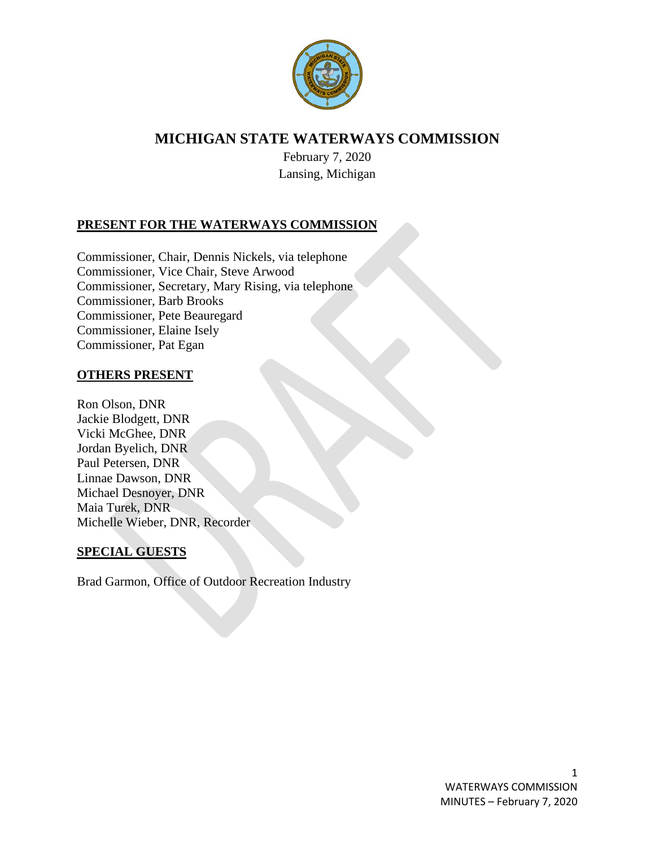

# **MICHIGAN STATE WATERWAYS COMMISSION**

February 7, 2020 Lansing, Michigan

# **PRESENT FOR THE WATERWAYS COMMISSION**

Commissioner, Chair, Dennis Nickels, via telephone Commissioner, Vice Chair, Steve Arwood Commissioner, Secretary, Mary Rising, via telephone Commissioner, Barb Brooks Commissioner, Pete Beauregard Commissioner, Elaine Isely Commissioner, Pat Egan

### **OTHERS PRESENT**

Ron Olson, DNR Jackie Blodgett, DNR Vicki McGhee, DNR Jordan Byelich, DNR Paul Petersen, DNR Linnae Dawson, DNR Michael Desnoyer, DNR Maia Turek, DNR Michelle Wieber, DNR, Recorder

#### **SPECIAL GUESTS**

Brad Garmon, Office of Outdoor Recreation Industry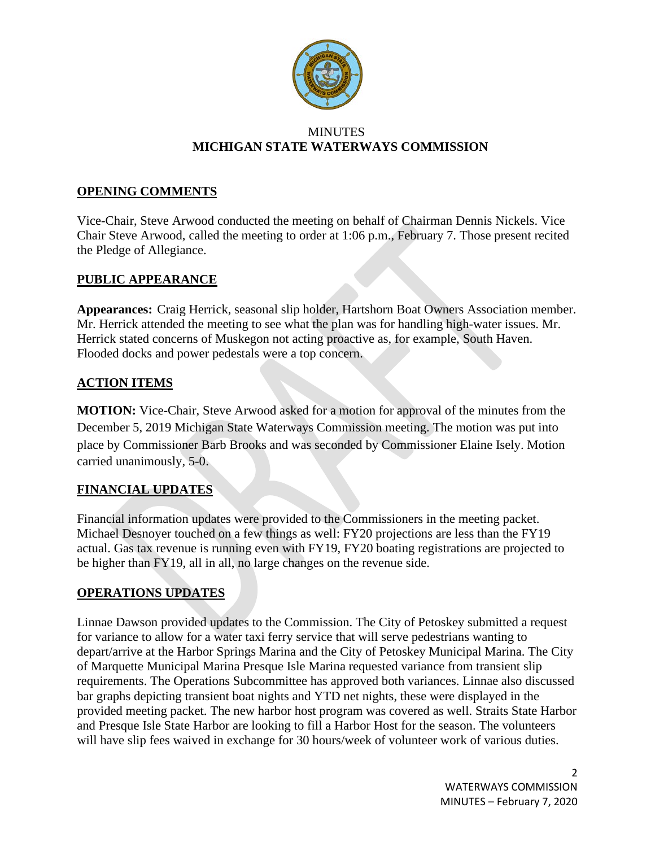

#### MINUTES **MICHIGAN STATE WATERWAYS COMMISSION**

### **OPENING COMMENTS**

Vice-Chair, Steve Arwood conducted the meeting on behalf of Chairman Dennis Nickels. Vice Chair Steve Arwood, called the meeting to order at 1:06 p.m., February 7. Those present recited the Pledge of Allegiance.

### **PUBLIC APPEARANCE**

**Appearances:** Craig Herrick, seasonal slip holder, Hartshorn Boat Owners Association member. Mr. Herrick attended the meeting to see what the plan was for handling high-water issues. Mr. Herrick stated concerns of Muskegon not acting proactive as, for example, South Haven. Flooded docks and power pedestals were a top concern.

# **ACTION ITEMS**

**MOTION:** Vice-Chair, Steve Arwood asked for a motion for approval of the minutes from the December 5, 2019 Michigan State Waterways Commission meeting. The motion was put into place by Commissioner Barb Brooks and was seconded by Commissioner Elaine Isely. Motion carried unanimously, 5-0.

# **FINANCIAL UPDATES**

Financial information updates were provided to the Commissioners in the meeting packet. Michael Desnoyer touched on a few things as well: FY20 projections are less than the FY19 actual. Gas tax revenue is running even with FY19, FY20 boating registrations are projected to be higher than FY19, all in all, no large changes on the revenue side.

# **OPERATIONS UPDATES**

Linnae Dawson provided updates to the Commission. The City of Petoskey submitted a request for variance to allow for a water taxi ferry service that will serve pedestrians wanting to depart/arrive at the Harbor Springs Marina and the City of Petoskey Municipal Marina. The City of Marquette Municipal Marina Presque Isle Marina requested variance from transient slip requirements. The Operations Subcommittee has approved both variances. Linnae also discussed bar graphs depicting transient boat nights and YTD net nights, these were displayed in the provided meeting packet. The new harbor host program was covered as well. Straits State Harbor and Presque Isle State Harbor are looking to fill a Harbor Host for the season. The volunteers will have slip fees waived in exchange for 30 hours/week of volunteer work of various duties.